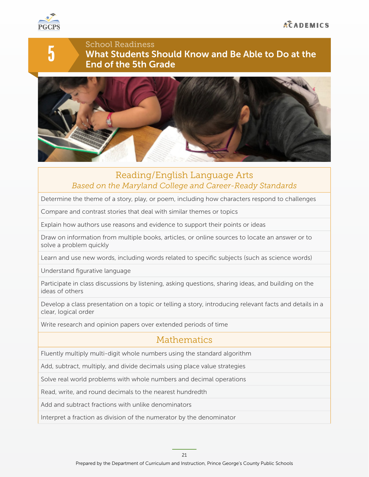

5

School Readiness What Students Should Know and Be Able to Do at the End of the 5th Grade



### Reading/English Language Arts *Based on the Maryland College and Career-Ready Standards*

Determine the theme of a story, play, or poem, including how characters respond to challenges

Compare and contrast stories that deal with similar themes or topics

Explain how authors use reasons and evidence to support their points or ideas

Draw on information from multiple books, articles, or online sources to locate an answer or to solve a problem quickly

Learn and use new words, including words related to specific subjects (such as science words)

Understand figurative language

Participate in class discussions by listening, asking questions, sharing ideas, and building on the ideas of others

Develop a class presentation on a topic or telling a story, introducing relevant facts and details in a clear, logical order

Write research and opinion papers over extended periods of time

### Mathematics

Fluently multiply multi-digit whole numbers using the standard algorithm

Add, subtract, multiply, and divide decimals using place value strategies

Solve real world problems with whole numbers and decimal operations

Read, write, and round decimals to the nearest hundredth

Add and subtract fractions with unlike denominators

Interpret a fraction as division of the numerator by the denominator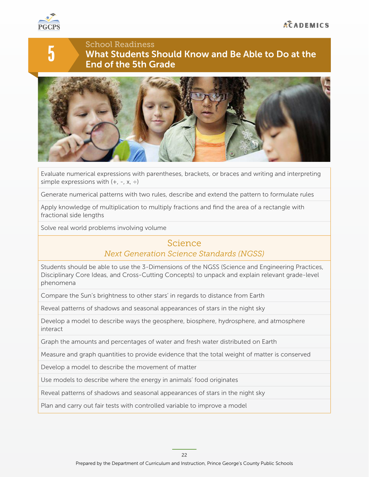

5

# School Readiness What Students Should Know and Be Able to Do at the End of the 5th Grade



Evaluate numerical expressions with parentheses, brackets, or braces and writing and interpreting simple expressions with  $(+, -, x, \div)$ 

Generate numerical patterns with two rules, describe and extend the pattern to formulate rules

Apply knowledge of multiplication to multiply fractions and find the area of a rectangle with fractional side lengths

Solve real world problems involving volume

### Science

#### *Next Generation Science Standards (NGSS)*

Students should be able to use the 3-Dimensions of the NGSS (Science and Engineering Practices, Disciplinary Core Ideas, and Cross-Cutting Concepts) to unpack and explain relevant grade-level phenomena

Compare the Sun's brightness to other stars' in regards to distance from Earth

Reveal patterns of shadows and seasonal appearances of stars in the night sky

Develop a model to describe ways the geosphere, biosphere, hydrosphere, and atmosphere interact

Graph the amounts and percentages of water and fresh water distributed on Earth

Measure and graph quantities to provide evidence that the total weight of matter is conserved

Develop a model to describe the movement of matter

Use models to describe where the energy in animals' food originates

Reveal patterns of shadows and seasonal appearances of stars in the night sky

Plan and carry out fair tests with controlled variable to improve a model